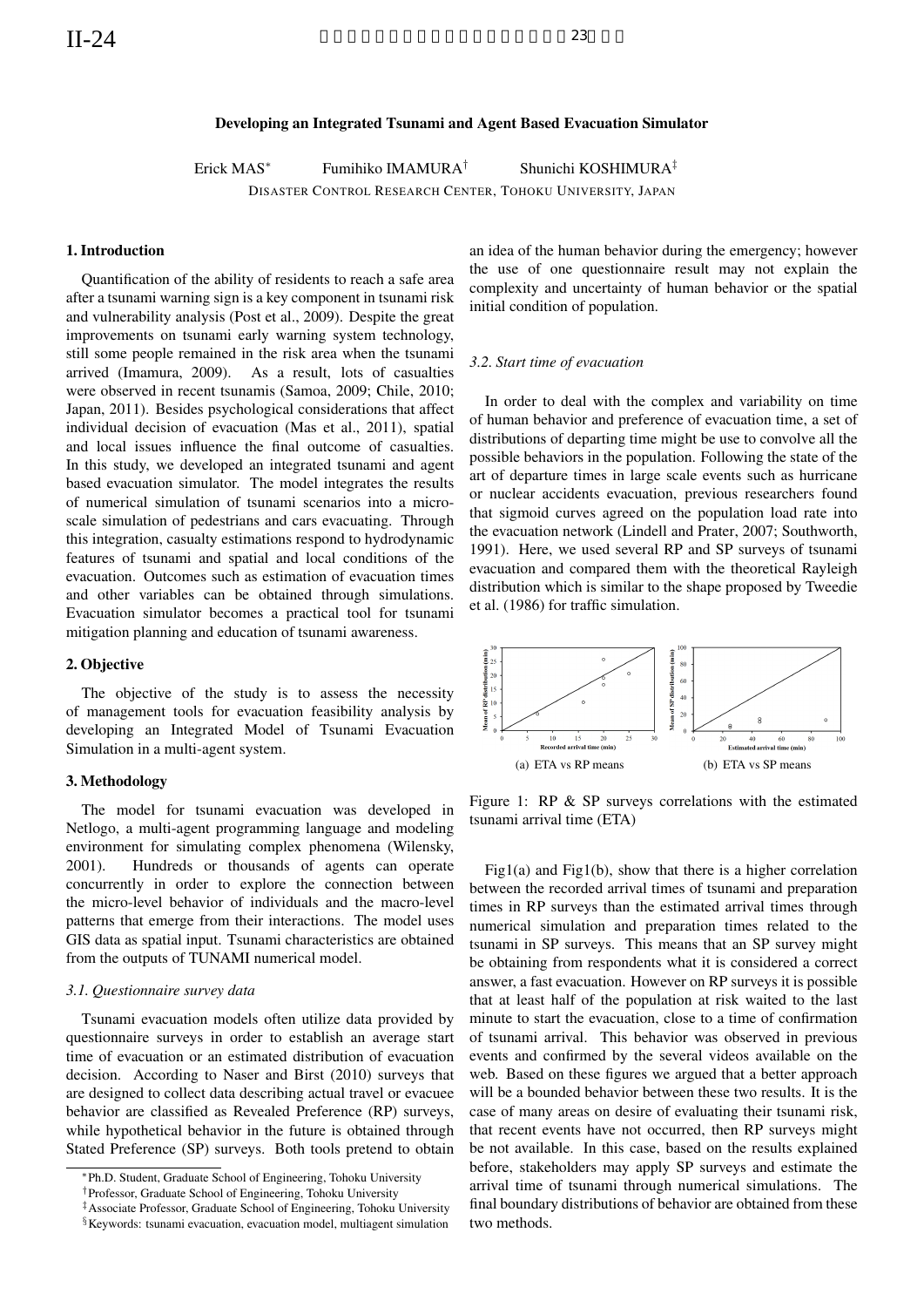#### Developing an Integrated Tsunami and Agent Based Evacuation Simulator

Erick MAS<sup>∗</sup> Fumihiko IMAMURA† Shunichi KOSHIMURA‡

DISASTER CONTROL RESEARCH CENTER, TOHOKU UNIVERSITY, JAPAN

# 1. Introduction

Quantification of the ability of residents to reach a safe area after a tsunami warning sign is a key component in tsunami risk and vulnerability analysis (Post et al., 2009). Despite the great improvements on tsunami early warning system technology, still some people remained in the risk area when the tsunami arrived (Imamura, 2009). As a result, lots of casualties were observed in recent tsunamis (Samoa, 2009; Chile, 2010; Japan, 2011). Besides psychological considerations that affect individual decision of evacuation (Mas et al., 2011), spatial and local issues influence the final outcome of casualties. In this study, we developed an integrated tsunami and agent based evacuation simulator. The model integrates the results of numerical simulation of tsunami scenarios into a microscale simulation of pedestrians and cars evacuating. Through this integration, casualty estimations respond to hydrodynamic features of tsunami and spatial and local conditions of the evacuation. Outcomes such as estimation of evacuation times and other variables can be obtained through simulations. Evacuation simulator becomes a practical tool for tsunami mitigation planning and education of tsunami awareness.

## 2. Objective

The objective of the study is to assess the necessity of management tools for evacuation feasibility analysis by developing an Integrated Model of Tsunami Evacuation Simulation in a multi-agent system.

# 3. Methodology

The model for tsunami evacuation was developed in Netlogo, a multi-agent programming language and modeling environment for simulating complex phenomena (Wilensky, 2001). Hundreds or thousands of agents can operate concurrently in order to explore the connection between the micro-level behavior of individuals and the macro-level patterns that emerge from their interactions. The model uses GIS data as spatial input. Tsunami characteristics are obtained from the outputs of TUNAMI numerical model.

# *3.1. Questionnaire survey data*

Tsunami evacuation models often utilize data provided by questionnaire surveys in order to establish an average start time of evacuation or an estimated distribution of evacuation decision. According to Naser and Birst (2010) surveys that are designed to collect data describing actual travel or evacuee behavior are classified as Revealed Preference (RP) surveys, while hypothetical behavior in the future is obtained through Stated Preference (SP) surveys. Both tools pretend to obtain

§Keywords: tsunami evacuation, evacuation model, multiagent simulation

an idea of the human behavior during the emergency; however the use of one questionnaire result may not explain the complexity and uncertainty of human behavior or the spatial initial condition of population.

#### *3.2. Start time of evacuation*

In order to deal with the complex and variability on time of human behavior and preference of evacuation time, a set of distributions of departing time might be use to convolve all the possible behaviors in the population. Following the state of the art of departure times in large scale events such as hurricane or nuclear accidents evacuation, previous researchers found that sigmoid curves agreed on the population load rate into the evacuation network (Lindell and Prater, 2007; Southworth, 1991). Here, we used several RP and SP surveys of tsunami evacuation and compared them with the theoretical Rayleigh distribution which is similar to the shape proposed by Tweedie et al. (1986) for traffic simulation.



Figure 1: RP & SP surveys correlations with the estimated tsunami arrival time (ETA)

Fig1(a) and Fig1(b), show that there is a higher correlation between the recorded arrival times of tsunami and preparation times in RP surveys than the estimated arrival times through numerical simulation and preparation times related to the tsunami in SP surveys. This means that an SP survey might be obtaining from respondents what it is considered a correct answer, a fast evacuation. However on RP surveys it is possible that at least half of the population at risk waited to the last minute to start the evacuation, close to a time of confirmation of tsunami arrival. This behavior was observed in previous events and confirmed by the several videos available on the web. Based on these figures we argued that a better approach will be a bounded behavior between these two results. It is the case of many areas on desire of evaluating their tsunami risk, that recent events have not occurred, then RP surveys might be not available. In this case, based on the results explained before, stakeholders may apply SP surveys and estimate the arrival time of tsunami through numerical simulations. The final boundary distributions of behavior are obtained from these two methods.

<sup>∗</sup>Ph.D. Student, Graduate School of Engineering, Tohoku University

<sup>†</sup>Professor, Graduate School of Engineering, Tohoku University

<sup>‡</sup>Associate Professor, Graduate School of Engineering, Tohoku University